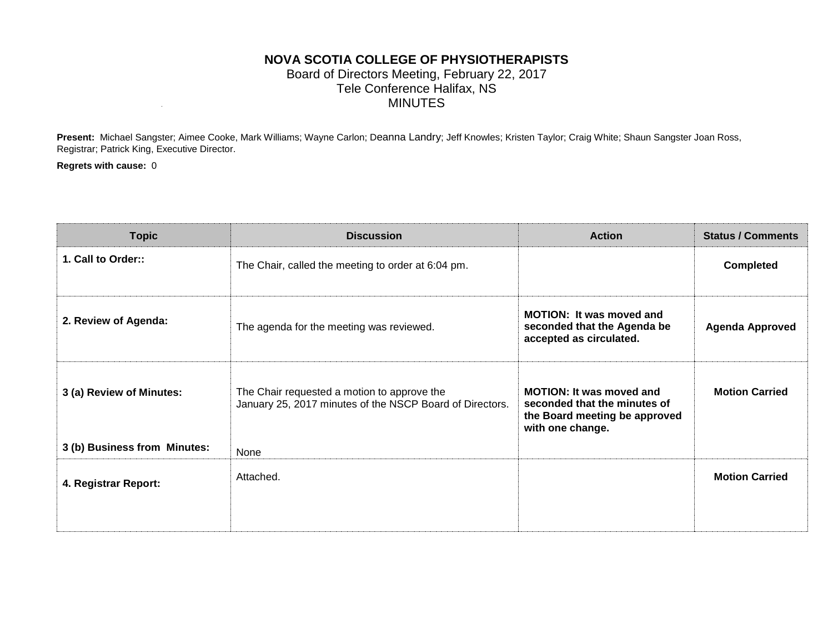## **NOVA SCOTIA COLLEGE OF PHYSIOTHERAPISTS** Board of Directors Meeting, February 22, 2017 Tele Conference Halifax, NS MINUTES

**Present:** Michael Sangster; Aimee Cooke, Mark Williams; Wayne Carlon; Deanna Landry; Jeff Knowles; Kristen Taylor; Craig White; Shaun Sangster Joan Ross, Registrar; Patrick King, Executive Director.

**Regrets with cause:** 0

| <b>Topic</b>                 | <b>Discussion</b>                                                                                       | <b>Action</b>                                                                                                        | <b>Status / Comments</b> |
|------------------------------|---------------------------------------------------------------------------------------------------------|----------------------------------------------------------------------------------------------------------------------|--------------------------|
| 1. Call to Order::           | The Chair, called the meeting to order at 6:04 pm.                                                      |                                                                                                                      | <b>Completed</b>         |
| 2. Review of Agenda:         | The agenda for the meeting was reviewed.                                                                | <b>MOTION:</b> It was moved and<br>seconded that the Agenda be<br>accepted as circulated.                            | <b>Agenda Approved</b>   |
| 3 (a) Review of Minutes:     | The Chair requested a motion to approve the<br>January 25, 2017 minutes of the NSCP Board of Directors. | <b>MOTION: It was moved and</b><br>seconded that the minutes of<br>the Board meeting be approved<br>with one change. | <b>Motion Carried</b>    |
| 3 (b) Business from Minutes: | None                                                                                                    |                                                                                                                      |                          |
| 4. Registrar Report:         | Attached.                                                                                               |                                                                                                                      | <b>Motion Carried</b>    |
|                              |                                                                                                         |                                                                                                                      |                          |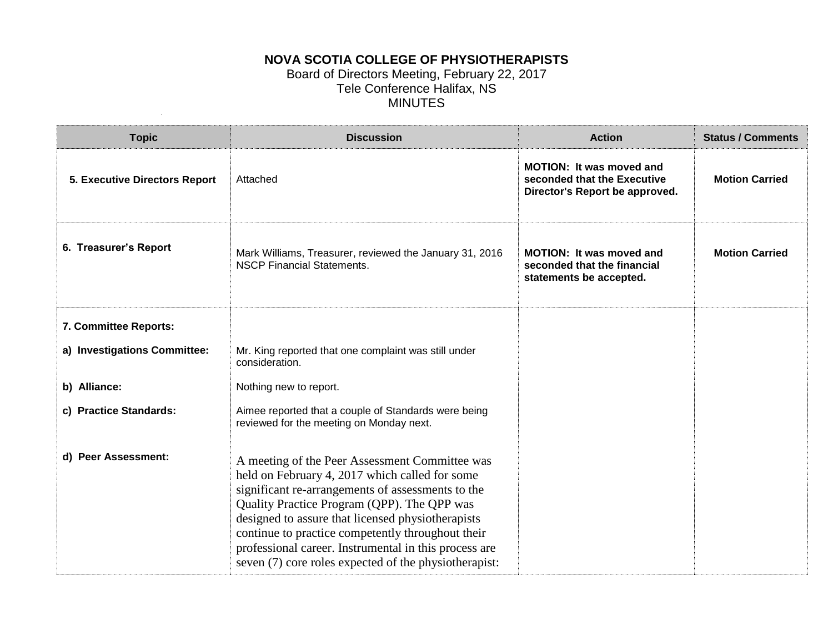# **NOVA SCOTIA COLLEGE OF PHYSIOTHERAPISTS**

#### Board of Directors Meeting, February 22, 2017 Tele Conference Halifax, NS MINUTES

| <b>Topic</b>                         | <b>Discussion</b>                                                                                                                                                                                                                                                                                                                                                                                                                | <b>Action</b>                                                                                    | <b>Status / Comments</b> |
|--------------------------------------|----------------------------------------------------------------------------------------------------------------------------------------------------------------------------------------------------------------------------------------------------------------------------------------------------------------------------------------------------------------------------------------------------------------------------------|--------------------------------------------------------------------------------------------------|--------------------------|
| <b>5. Executive Directors Report</b> | Attached                                                                                                                                                                                                                                                                                                                                                                                                                         | <b>MOTION: It was moved and</b><br>seconded that the Executive<br>Director's Report be approved. | <b>Motion Carried</b>    |
| 6. Treasurer's Report                | Mark Williams, Treasurer, reviewed the January 31, 2016<br><b>NSCP Financial Statements.</b>                                                                                                                                                                                                                                                                                                                                     | MOTION: It was moved and<br>seconded that the financial<br>statements be accepted.               | <b>Motion Carried</b>    |
| 7. Committee Reports:                |                                                                                                                                                                                                                                                                                                                                                                                                                                  |                                                                                                  |                          |
| a) Investigations Committee:         | Mr. King reported that one complaint was still under<br>consideration.                                                                                                                                                                                                                                                                                                                                                           |                                                                                                  |                          |
| b) Alliance:                         | Nothing new to report.                                                                                                                                                                                                                                                                                                                                                                                                           |                                                                                                  |                          |
| c) Practice Standards:               | Aimee reported that a couple of Standards were being<br>reviewed for the meeting on Monday next.                                                                                                                                                                                                                                                                                                                                 |                                                                                                  |                          |
| d) Peer Assessment:                  | A meeting of the Peer Assessment Committee was<br>held on February 4, 2017 which called for some<br>significant re-arrangements of assessments to the<br>Quality Practice Program (QPP). The QPP was<br>designed to assure that licensed physiotherapists<br>continue to practice competently throughout their<br>professional career. Instrumental in this process are<br>seven (7) core roles expected of the physiotherapist: |                                                                                                  |                          |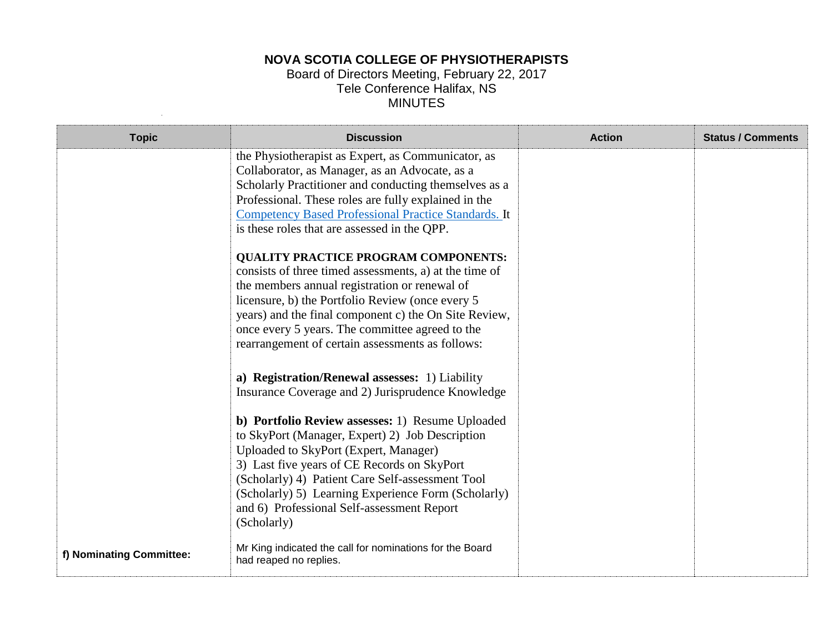## **NOVA SCOTIA COLLEGE OF PHYSIOTHERAPISTS**

#### Board of Directors Meeting, February 22, 2017 Tele Conference Halifax, NS MINUTES

| <b>Topic</b>             | <b>Discussion</b>                                                                                                                                                                                                                                                                                                                                                                                                                                                                                                                                                                                                                                                                                                  | <b>Action</b> | <b>Status / Comments</b> |
|--------------------------|--------------------------------------------------------------------------------------------------------------------------------------------------------------------------------------------------------------------------------------------------------------------------------------------------------------------------------------------------------------------------------------------------------------------------------------------------------------------------------------------------------------------------------------------------------------------------------------------------------------------------------------------------------------------------------------------------------------------|---------------|--------------------------|
|                          | the Physiotherapist as Expert, as Communicator, as<br>Collaborator, as Manager, as an Advocate, as a<br>Scholarly Practitioner and conducting themselves as a<br>Professional. These roles are fully explained in the<br><b>Competency Based Professional Practice Standards. It</b><br>is these roles that are assessed in the QPP.<br><b>QUALITY PRACTICE PROGRAM COMPONENTS:</b><br>consists of three timed assessments, a) at the time of<br>the members annual registration or renewal of<br>licensure, b) the Portfolio Review (once every 5<br>years) and the final component c) the On Site Review,<br>once every 5 years. The committee agreed to the<br>rearrangement of certain assessments as follows: |               |                          |
|                          | a) Registration/Renewal assesses: 1) Liability<br>Insurance Coverage and 2) Jurisprudence Knowledge<br>b) Portfolio Review assesses: 1) Resume Uploaded<br>to SkyPort (Manager, Expert) 2) Job Description<br>Uploaded to SkyPort (Expert, Manager)<br>3) Last five years of CE Records on SkyPort<br>(Scholarly) 4) Patient Care Self-assessment Tool<br>(Scholarly) 5) Learning Experience Form (Scholarly)<br>and 6) Professional Self-assessment Report<br>(Scholarly)<br>Mr King indicated the call for nominations for the Board                                                                                                                                                                             |               |                          |
| f) Nominating Committee: | had reaped no replies.                                                                                                                                                                                                                                                                                                                                                                                                                                                                                                                                                                                                                                                                                             |               |                          |